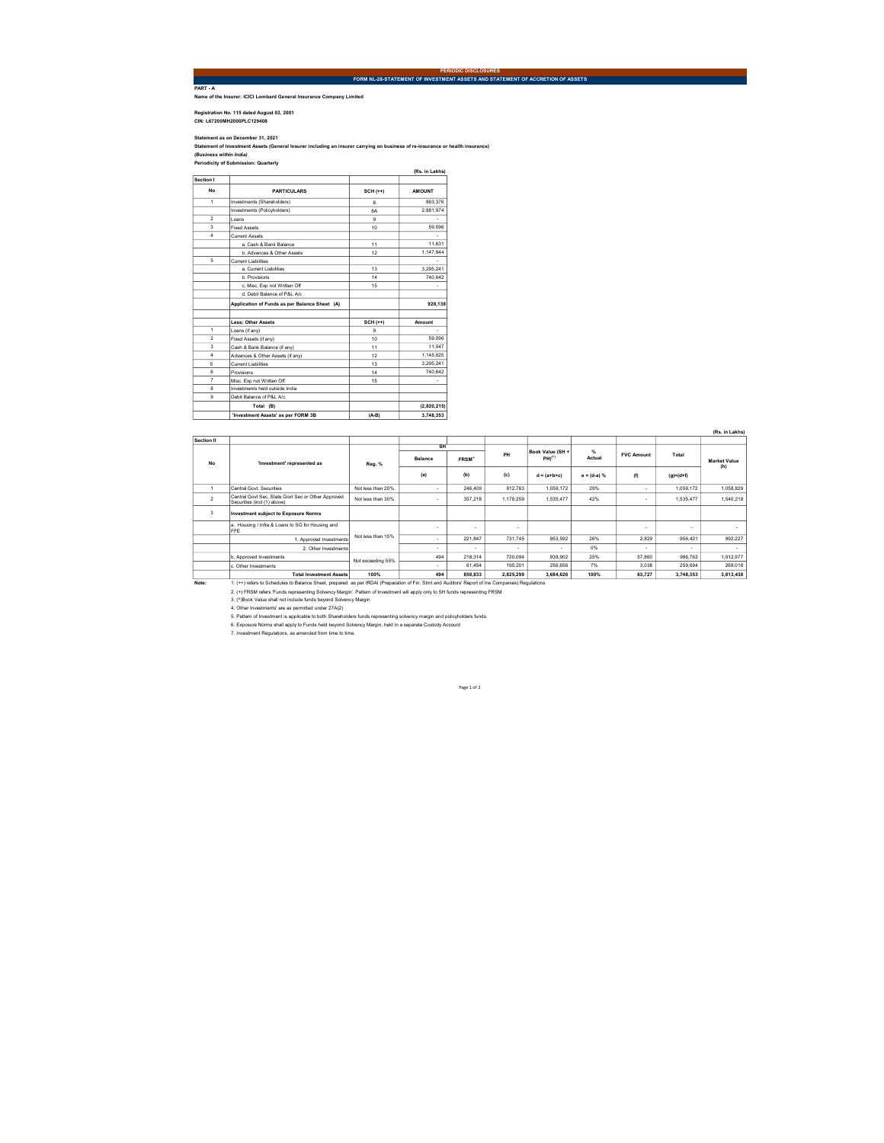PART - A Name of the Insurer: ICICI Lombard General Insurance Company Limited

Registration No. 115 dated August 03, 2001 CIN: L67200MH2000PLC129408

Statement as on December 31, 2021<br>(Business within India)<br>(Business within India)<br>Periodicity of Submission: Quarterly

|                      |                                               |                  | (Rs. in Lakhs) |
|----------------------|-----------------------------------------------|------------------|----------------|
| Section I            |                                               |                  |                |
| No                   | <b>PARTICULARS</b>                            | $SCH (++)$       | <b>AMOUNT</b>  |
| $\ddot{\phantom{1}}$ | Investments (Shareholders)                    | s.               | 863.376        |
|                      | Investments (Policyholders)                   | <b>RA</b>        | 2.881.974      |
| $\overline{2}$       | I nans                                        | ۹                |                |
| $\overline{3}$       | <b>Fixed Assets</b>                           | 10 <sub>10</sub> | 59.096         |
| $\overline{a}$       | Current Assets                                |                  |                |
|                      | a Cash & Bank Balance                         | 11               | 11.631         |
|                      | b Advances & Other Assets                     | 12               | 1.147.944      |
| 5                    | Current Liabilities                           |                  |                |
|                      | a Current Liabilities                         | 13               | 3.295.241      |
|                      | h Provisions                                  | 14               | 740.642        |
|                      | c. Misc. Exp not Written Off                  | 15               |                |
|                      | d. Debit Balance of P&L A/c.                  |                  |                |
|                      | Application of Funds as per Balance Sheet (A) |                  | 928.138        |
|                      | <b>Less: Other Assets</b>                     | $SCH (++)$       | Amount         |
| 1                    | Loans (if any)                                | $\mathbf{Q}$     | ٠              |
| $\overline{2}$       | Fixed Assets (if any)                         | 10               | 59.096         |
| $\overline{3}$       | Cash & Bank Balance (if any)                  | 11               | 11.547         |
| 4                    | Advances & Other Assets (if any)              | 12               | 1.145.025      |
| 5                    | Current Liabilities                           | 13               | 3.295.241      |
| 6                    | Provisions                                    | 14               | 740.642        |
| 7                    | Misc. Exp not Written Off                     | 15               |                |
| $\mathbf{a}$         | Investments held outside India                |                  |                |
| $\mathbf{Q}$         | Debit Balance of P&L A/c                      |                  |                |
|                      | Total (B)                                     |                  | (2,820,215)    |
|                      | 'Investment Assets' as per FORM 3B            | $(A-B)$          | 3,748,353      |

|                      |                                                                                                                                                  |                   |                          |                   |           |                    |                |                          |                 | (Rs. in Lakhs)      |
|----------------------|--------------------------------------------------------------------------------------------------------------------------------------------------|-------------------|--------------------------|-------------------|-----------|--------------------|----------------|--------------------------|-----------------|---------------------|
| Section II           |                                                                                                                                                  |                   |                          |                   |           |                    |                |                          |                 |                     |
| <b>No</b>            | 'Investment' represented as                                                                                                                      | Reg. %            | SH                       |                   |           | Book Value (SH +   | $\frac{d}{dx}$ |                          |                 |                     |
|                      |                                                                                                                                                  |                   | <b>Balance</b>           | FRSM <sup>*</sup> | PH        | PH) <sup>(*)</sup> | Actual         | <b>FVC Amount</b>        | Total           | <b>Market Value</b> |
|                      |                                                                                                                                                  |                   | (a)                      | (b)               | (c)       | $d = (a+b+c)$      | $e = (d-a) %$  | (f)                      | $(q) = (d + f)$ | (h)                 |
| $\ddot{\phantom{1}}$ | Central Govt Securities                                                                                                                          | Not less than 20% |                          | 246,409           | 812.763   | 1.059.172          | 29%            | $\sim$                   | 1.059.172       | 1.058.829           |
| $\overline{2}$       | Central Govt Sec. State Govt Sec or Other Approved<br>Securities (incl (1) above)                                                                | Not less than 30% | $\sim$                   | 357.218           | 1.178.259 | 1.535.477          | 42%            | $\overline{\phantom{a}}$ | 1.535.477       | 1.540.218           |
| 3                    | <b>Investment subject to Exposure Norms</b>                                                                                                      |                   |                          |                   |           |                    |                |                          |                 |                     |
|                      | a. Housing / Infra & Loans to SG for Housing and<br>FFE                                                                                          | Not less than 15% | $\sim$                   | ۰                 | ٠         |                    |                | $\overline{\phantom{a}}$ |                 |                     |
|                      | 1. Approved Investments                                                                                                                          |                   | $\sim$                   | 221.847           | 731.745   | 953.592            | 26%            | 2.829                    | 956.421         | 992.227             |
|                      | 2. Other Investments                                                                                                                             |                   | $\overline{\phantom{a}}$ | ٠                 | ٠         |                    | 0%             | $\sim$                   | ٠               | ٠                   |
|                      | b. Approved Investments                                                                                                                          | Not exceeding 55% | 494                      | 218.314           | 720.094   | 938.902            | 25%            | 57,860                   | 996.762         | 1.012.977           |
|                      | c. Other Investments                                                                                                                             |                   | $\sim$                   | 61.454            | 195.201   | 256.656            | 7%             | 3.038                    | 259.694         | 268.016             |
|                      | <b>Total Investment Assets</b>                                                                                                                   | 100%              | 494                      | 858,833           | 2.825.299 | 3.684.626          | 100%           | 63.727                   | 3.748.353       | 3.813.438           |
| Note:                | 1. (++) refers to Schedules to Balance Sheet, prepared as per IRDAI (Preparation of Fin. Stmt and Auditors' Report of Ins Companies) Requlations |                   |                          |                   |           |                    |                |                          |                 |                     |
|                      | 2. (+) FRSM refers 'Funds representing Solvency Margin'. Pattern of Investment will apply only to SH funds representing FRSM                     |                   |                          |                   |           |                    |                |                          |                 |                     |
|                      | 3. (^)Book Value shall not include funds beyond Solvency Margin                                                                                  |                   |                          |                   |           |                    |                |                          |                 |                     |
|                      | 4. Other Investments' are as permitted under 27A(2)                                                                                              |                   |                          |                   |           |                    |                |                          |                 |                     |
|                      | 5. Pattern of Investment is applicable to both Shareholders funds representing solvency margin and policyholders funds.                          |                   |                          |                   |           |                    |                |                          |                 |                     |
|                      | 6. Exposure Norms shall apply to Funds held beyond Solvency Margin, held in a separate Custody Account                                           |                   |                          |                   |           |                    |                |                          |                 |                     |
|                      | 7. Investment Regulations, as amended from time to time.                                                                                         |                   |                          |                   |           |                    |                |                          |                 |                     |

Page 1 of 2